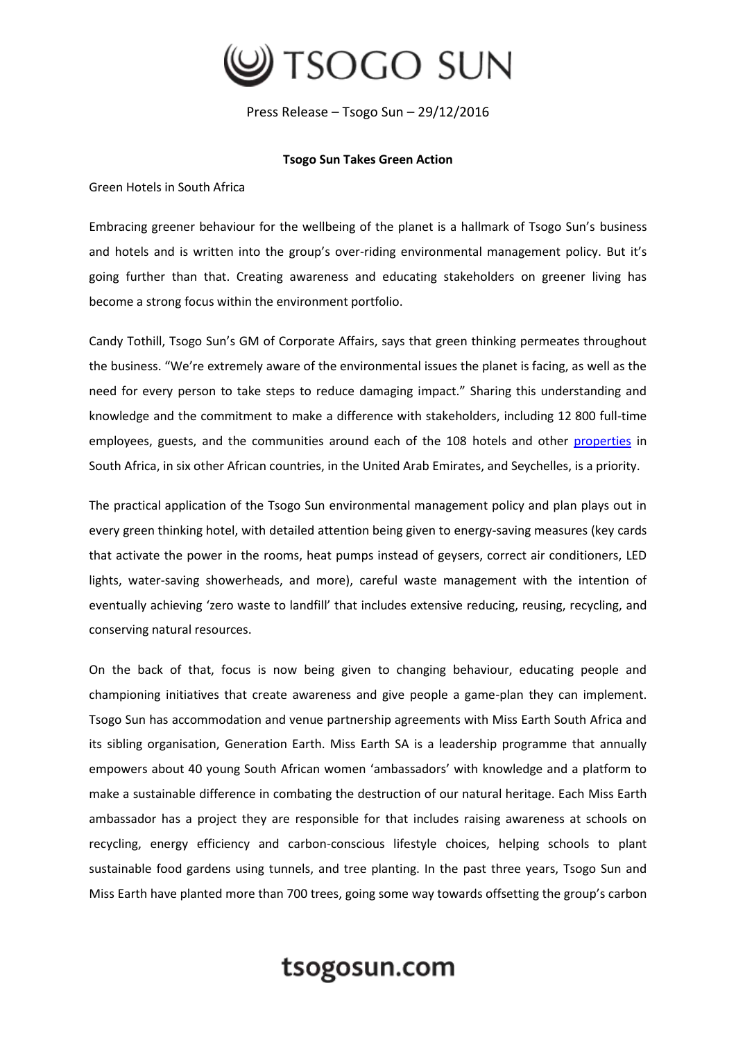

Press Release – Tsogo Sun – 29/12/2016

## **Tsogo Sun Takes Green Action**

Green Hotels in South Africa

Embracing greener behaviour for the wellbeing of the planet is a hallmark of Tsogo Sun's business and hotels and is written into the group's over-riding environmental management policy. But it's going further than that. Creating awareness and educating stakeholders on greener living has become a strong focus within the environment portfolio.

Candy Tothill, Tsogo Sun's GM of Corporate Affairs, says that green thinking permeates throughout the business. "We're extremely aware of the environmental issues the planet is facing, as well as the need for every person to take steps to reduce damaging impact." Sharing this understanding and knowledge and the commitment to make a difference with stakeholders, including 12 800 full-time employees, guests, and the communities around each of the 108 hotels and other [properties](https://www.tsogosun.com/hotels) in South Africa, in six other African countries, in the United Arab Emirates, and Seychelles, is a priority.

The practical application of the Tsogo Sun environmental management policy and plan plays out in every green thinking hotel, with detailed attention being given to energy-saving measures (key cards that activate the power in the rooms, heat pumps instead of geysers, correct air conditioners, LED lights, water-saving showerheads, and more), careful waste management with the intention of eventually achieving 'zero waste to landfill' that includes extensive reducing, reusing, recycling, and conserving natural resources.

On the back of that, focus is now being given to changing behaviour, educating people and championing initiatives that create awareness and give people a game-plan they can implement. Tsogo Sun has accommodation and venue partnership agreements with Miss Earth South Africa and its sibling organisation, Generation Earth. Miss Earth SA is a leadership programme that annually empowers about 40 young South African women 'ambassadors' with knowledge and a platform to make a sustainable difference in combating the destruction of our natural heritage. Each Miss Earth ambassador has a project they are responsible for that includes raising awareness at schools on recycling, energy efficiency and carbon-conscious lifestyle choices, helping schools to plant sustainable food gardens using tunnels, and tree planting. In the past three years, Tsogo Sun and Miss Earth have planted more than 700 trees, going some way towards offsetting the group's carbon

## tsogosun.com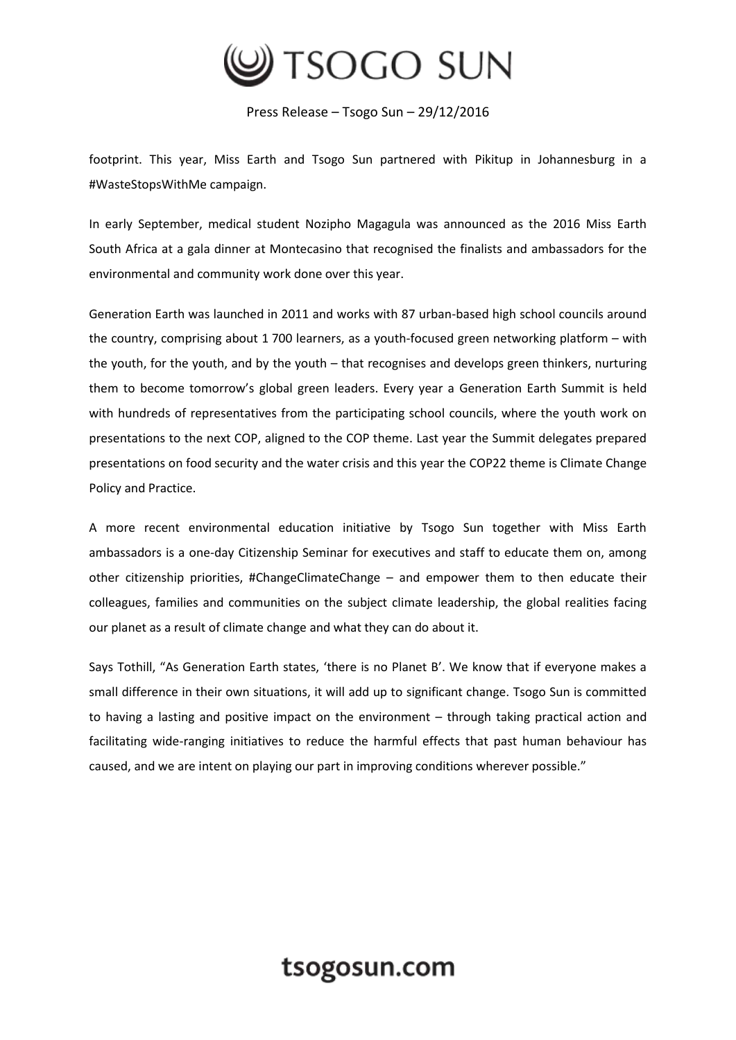

Press Release – Tsogo Sun – 29/12/2016

footprint. This year, Miss Earth and Tsogo Sun partnered with Pikitup in Johannesburg in a #WasteStopsWithMe campaign.

In early September, medical student Nozipho Magagula was announced as the 2016 Miss Earth South Africa at a gala dinner at Montecasino that recognised the finalists and ambassadors for the environmental and community work done over this year.

Generation Earth was launched in 2011 and works with 87 urban-based high school councils around the country, comprising about 1 700 learners, as a youth-focused green networking platform – with the youth, for the youth, and by the youth – that recognises and develops green thinkers, nurturing them to become tomorrow's global green leaders. Every year a Generation Earth Summit is held with hundreds of representatives from the participating school councils, where the youth work on presentations to the next COP, aligned to the COP theme. Last year the Summit delegates prepared presentations on food security and the water crisis and this year the COP22 theme is Climate Change Policy and Practice.

A more recent environmental education initiative by Tsogo Sun together with Miss Earth ambassadors is a one-day Citizenship Seminar for executives and staff to educate them on, among other citizenship priorities, #ChangeClimateChange – and empower them to then educate their colleagues, families and communities on the subject climate leadership, the global realities facing our planet as a result of climate change and what they can do about it.

Says Tothill, "As Generation Earth states, 'there is no Planet B'. We know that if everyone makes a small difference in their own situations, it will add up to significant change. Tsogo Sun is committed to having a lasting and positive impact on the environment – through taking practical action and facilitating wide-ranging initiatives to reduce the harmful effects that past human behaviour has caused, and we are intent on playing our part in improving conditions wherever possible."

## tsogosun.com